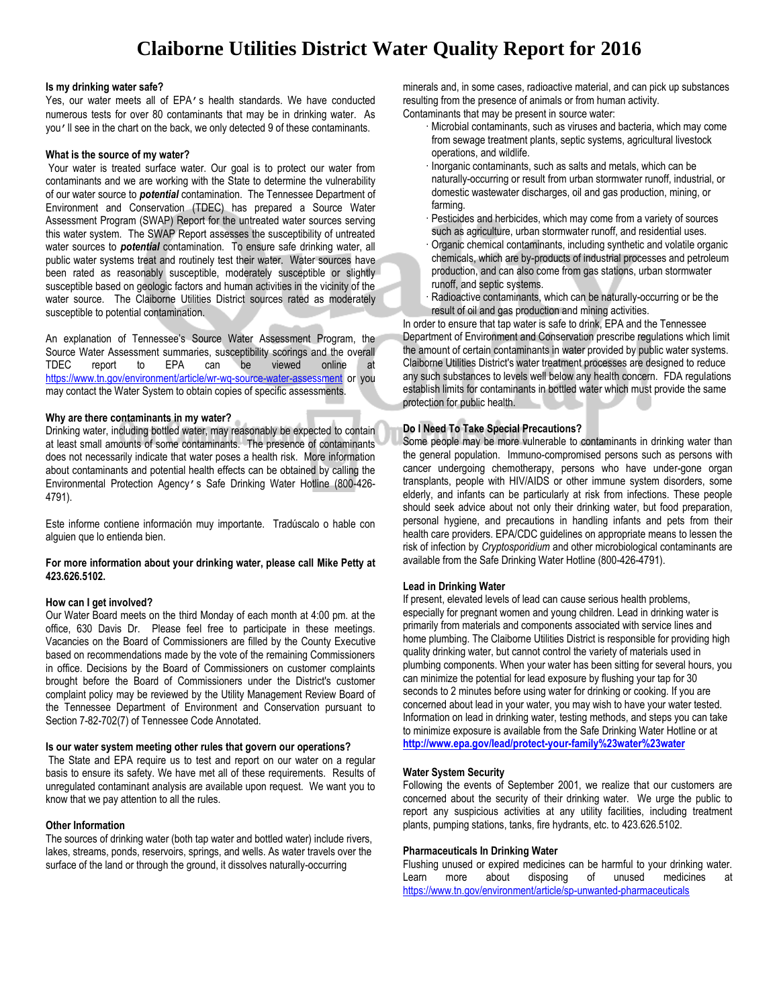# **Claiborne Utilities District Water Quality Report for 2016**

#### **Is my drinking water safe?**

Yes, our water meets all of EPA's health standards. We have conducted numerous tests for over 80 contaminants that may be in drinking water. As you'll see in the chart on the back, we only detected 9 of these contaminants.

#### **What is the source of my water?**

Your water is treated surface water. Our goal is to protect our water from contaminants and we are working with the State to determine the vulnerability of our water source to *potential* contamination. The Tennessee Department of Environment and Conservation (TDEC) has prepared a Source Water Assessment Program (SWAP) Report for the untreated water sources serving this water system. The SWAP Report assesses the susceptibility of untreated water sources to *potential* contamination. To ensure safe drinking water, all public water systems treat and routinely test their water. Water sources have been rated as reasonably susceptible, moderately susceptible or slightly susceptible based on geologic factors and human activities in the vicinity of the water source. The Claiborne Utilities District sources rated as moderately susceptible to potential contamination.

An explanation of Tennessee's Source Water Assessment Program, the Source Water Assessment summaries, susceptibility scorings and the overall TDEC report to EPA can be viewed online at <https://www.tn.gov/environment/article/wr-wq-source-water-assessment> or you may contact the Water System to obtain copies of specific assessments.

#### **Why are there contaminants in my water?**

Drinking water, including bottled water, may reasonably be expected to contain at least small amounts of some contaminants. The presence of contaminants does not necessarily indicate that water poses a health risk. More information about contaminants and potential health effects can be obtained by calling the Environmental Protection Agency's Safe Drinking Water Hotline (800-426- 4791).

Este informe contiene información muy importante. Tradúscalo o hable con alguien que lo entienda bien.

#### **For more information about your drinking water, please call Mike Petty at 423.626.5102.**

#### **How can I get involved?**

Our Water Board meets on the third Monday of each month at 4:00 pm. at the office, 630 Davis Dr. Please feel free to participate in these meetings. Vacancies on the Board of Commissioners are filled by the County Executive based on recommendations made by the vote of the remaining Commissioners in office. Decisions by the Board of Commissioners on customer complaints brought before the Board of Commissioners under the District's customer complaint policy may be reviewed by the Utility Management Review Board of the Tennessee Department of Environment and Conservation pursuant to Section 7-82-702(7) of Tennessee Code Annotated.

#### **Is our water system meeting other rules that govern our operations?**

The State and EPA require us to test and report on our water on a regular basis to ensure its safety. We have met all of these requirements. Results of unregulated contaminant analysis are available upon request. We want you to know that we pay attention to all the rules.

#### **Other Information**

The sources of drinking water (both tap water and bottled water) include rivers, lakes, streams, ponds, reservoirs, springs, and wells. As water travels over the surface of the land or through the ground, it dissolves naturally-occurring

minerals and, in some cases, radioactive material, and can pick up substances resulting from the presence of animals or from human activity. Contaminants that may be present in source water:

- · Microbial contaminants, such as viruses and bacteria, which may come from sewage treatment plants, septic systems, agricultural livestock operations, and wildlife.
- · Inorganic contaminants, such as salts and metals, which can be naturally-occurring or result from urban stormwater runoff, industrial, or domestic wastewater discharges, oil and gas production, mining, or farming.
- · Pesticides and herbicides, which may come from a variety of sources such as agriculture, urban stormwater runoff, and residential uses.
- · Organic chemical contaminants, including synthetic and volatile organic chemicals, which are by-products of industrial processes and petroleum production, and can also come from gas stations, urban stormwater runoff, and septic systems.
- Radioactive contaminants, which can be naturally-occurring or be the result of oil and gas production and mining activities.

In order to ensure that tap water is safe to drink, EPA and the Tennessee Department of Environment and Conservation prescribe regulations which limit the amount of certain contaminants in water provided by public water systems. Claiborne Utilities District's water treatment processes are designed to reduce any such substances to levels well below any health concern. FDA regulations establish limits for contaminants in bottled water which must provide the same protection for public health.

#### **Do I Need To Take Special Precautions?**

Some people may be more vulnerable to contaminants in drinking water than the general population. Immuno-compromised persons such as persons with cancer undergoing chemotherapy, persons who have under-gone organ transplants, people with HIV/AIDS or other immune system disorders, some elderly, and infants can be particularly at risk from infections. These people should seek advice about not only their drinking water, but food preparation, personal hygiene, and precautions in handling infants and pets from their health care providers. EPA/CDC guidelines on appropriate means to lessen the risk of infection by *Cryptosporidium* and other microbiological contaminants are available from the Safe Drinking Water Hotline (800-426-4791).

#### **Lead in Drinking Water**

If present, elevated levels of lead can cause serious health problems, especially for pregnant women and young children. Lead in drinking water is primarily from materials and components associated with service lines and home plumbing. The Claiborne Utilities District is responsible for providing high quality drinking water, but cannot control the variety of materials used in plumbing components. When your water has been sitting for several hours, you can minimize the potential for lead exposure by flushing your tap for 30 seconds to 2 minutes before using water for drinking or cooking. If you are concerned about lead in your water, you may wish to have your water tested. Information on lead in drinking water, testing methods, and steps you can take to minimize exposure is available from the Safe Drinking Water Hotline or at **<http://www.epa.gov/lead/protect-your-family%23water%23water>**

#### **Water System Security**

Following the events of September 2001, we realize that our customers are concerned about the security of their drinking water. We urge the public to report any suspicious activities at any utility facilities, including treatment plants, pumping stations, tanks, fire hydrants, etc. to 423.626.5102.

#### **Pharmaceuticals In Drinking Water**

Flushing unused or expired medicines can be harmful to your drinking water. Learn more about disposing of unused medicines at <https://www.tn.gov/environment/article/sp-unwanted-pharmaceuticals>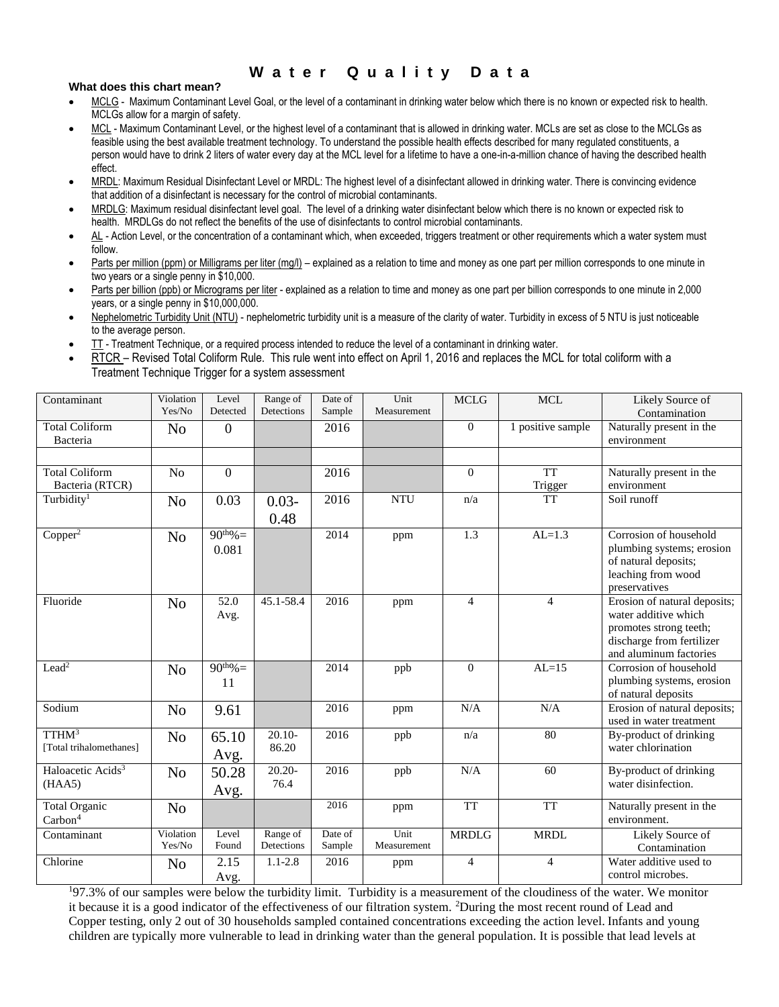## **W a t e r Q u a l i t y D a t a**

### **What does this chart mean?**

- MCLG Maximum Contaminant Level Goal, or the level of a contaminant in drinking water below which there is no known or expected risk to health. MCLGs allow for a margin of safety.
- MCL Maximum Contaminant Level, or the highest level of a contaminant that is allowed in drinking water. MCLs are set as close to the MCLGs as feasible using the best available treatment technology. To understand the possible health effects described for many regulated constituents, a person would have to drink 2 liters of water every day at the MCL level for a lifetime to have a one-in-a-million chance of having the described health effect.
- MRDL: Maximum Residual Disinfectant Level or MRDL: The highest level of a disinfectant allowed in drinking water. There is convincing evidence that addition of a disinfectant is necessary for the control of microbial contaminants.
- MRDLG: Maximum residual disinfectant level goal. The level of a drinking water disinfectant below which there is no known or expected risk to health. MRDLGs do not reflect the benefits of the use of disinfectants to control microbial contaminants.
- AL Action Level, or the concentration of a contaminant which, when exceeded, triggers treatment or other requirements which a water system must follow.
- Parts per million (ppm) or Milligrams per liter (mg/l) explained as a relation to time and money as one part per million corresponds to one minute in two years or a single penny in \$10,000.
- Parts per billion (ppb) or Micrograms per liter explained as a relation to time and money as one part per billion corresponds to one minute in 2,000 years, or a single penny in \$10,000,000.
- Nephelometric Turbidity Unit (NTU) nephelometric turbidity unit is a measure of the clarity of water. Turbidity in excess of 5 NTU is just noticeable to the average person.
- TT Treatment Technique, or a required process intended to reduce the level of a contaminant in drinking water.
- RTCR Revised Total Coliform Rule. This rule went into effect on April 1, 2016 and replaces the MCL for total coliform with a Treatment Technique Trigger for a system assessment

| Contaminant                                  | Violation<br>Yes/No | Level<br>Detected      | Range of<br>Detections | Date of<br>Sample | Unit<br>Measurement | <b>MCLG</b>    | <b>MCL</b>           | Likely Source of<br>Contamination                                                                                                     |
|----------------------------------------------|---------------------|------------------------|------------------------|-------------------|---------------------|----------------|----------------------|---------------------------------------------------------------------------------------------------------------------------------------|
| <b>Total Coliform</b><br>Bacteria            | N <sub>o</sub>      | $\overline{0}$         |                        | 2016              |                     | $\theta$       | 1 positive sample    | Naturally present in the<br>environment                                                                                               |
|                                              |                     |                        |                        |                   |                     |                |                      |                                                                                                                                       |
| <b>Total Coliform</b><br>Bacteria (RTCR)     | No                  | $\overline{0}$         |                        | 2016              |                     | $\theta$       | <b>TT</b><br>Trigger | Naturally present in the<br>environment                                                                                               |
| Turbidity <sup>1</sup>                       | N <sub>o</sub>      | 0.03                   | $0.03 -$<br>0.48       | 2016              | <b>NTU</b>          | n/a            | <b>TT</b>            | Soil runoff                                                                                                                           |
| Copper <sup>2</sup>                          | N <sub>o</sub>      | $90^{th}\% =$<br>0.081 |                        | 2014              | ppm                 | 1.3            | $AL=1.3$             | Corrosion of household<br>plumbing systems; erosion<br>of natural deposits;<br>leaching from wood<br>preservatives                    |
| Fluoride                                     | N <sub>o</sub>      | 52.0<br>Avg.           | 45.1-58.4              | 2016              | ppm                 | $\overline{4}$ | $\overline{4}$       | Erosion of natural deposits;<br>water additive which<br>promotes strong teeth;<br>discharge from fertilizer<br>and aluminum factories |
| Lead <sup>2</sup>                            | N <sub>o</sub>      | $90^{th}\% =$<br>11    |                        | 2014              | ppb                 | $\theta$       | $AL=15$              | Corrosion of household<br>plumbing systems, erosion<br>of natural deposits                                                            |
| Sodium                                       | N <sub>o</sub>      | 9.61                   |                        | 2016              | ppm                 | N/A            | N/A                  | Erosion of natural deposits;<br>used in water treatment                                                                               |
| TTHM <sup>3</sup><br>[Total trihalomethanes] | N <sub>o</sub>      | 65.10<br>Avg.          | $20.10-$<br>86.20      | 2016              | ppb                 | n/a            | 80                   | By-product of drinking<br>water chlorination                                                                                          |
| Haloacetic Acids <sup>3</sup><br>(HAA5)      | N <sub>o</sub>      | 50.28<br>Avg.          | $20.20 -$<br>76.4      | 2016              | ppb                 | N/A            | 60                   | By-product of drinking<br>water disinfection.                                                                                         |
| <b>Total Organic</b><br>$\rm Carbon^4$       | N <sub>o</sub>      |                        |                        | 2016              | ppm                 | <b>TT</b>      | <b>TT</b>            | Naturally present in the<br>environment.                                                                                              |
| Contaminant                                  | Violation<br>Yes/No | Level<br>Found         | Range of<br>Detections | Date of<br>Sample | Unit<br>Measurement | <b>MRDLG</b>   | MRDL                 | Likely Source of<br>Contamination                                                                                                     |
| Chlorine                                     | N <sub>o</sub>      | 2.15<br>Avg.           | $1.1 - 2.8$            | 2016              | ppm                 | $\overline{4}$ | $\overline{4}$       | Water additive used to<br>control microbes.                                                                                           |

 $197.3\%$  of our samples were below the turbidity limit. Turbidity is a measurement of the cloudiness of the water. We monitor it because it is a good indicator of the effectiveness of our filtration system. <sup>2</sup>During the most recent round of Lead and Copper testing, only 2 out of 30 households sampled contained concentrations exceeding the action level. Infants and young children are typically more vulnerable to lead in drinking water than the general population. It is possible that lead levels at